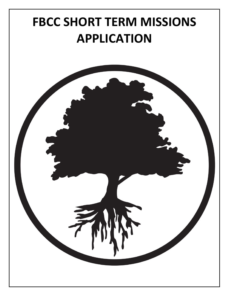## **FBCC SHORT TERM MISSIONS APPLICATION**

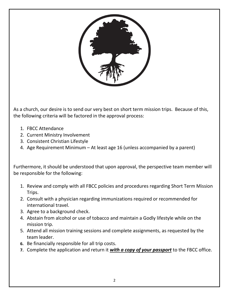

As a church, our desire is to send our very best on short term mission trips. Because of this, the following criteria will be factored in the approval process:

- 1. FBCC Attendance
- 2. Current Ministry Involvement
- 3. Consistent Christian Lifestyle
- 4. Age Requirement Minimum At least age 16 (unless accompanied by a parent)

Furthermore, it should be understood that upon approval, the perspective team member will be responsible for the following:

- 1. Review and comply with all FBCC policies and procedures regarding Short Term Mission Trips.
- 2. Consult with a physician regarding immunizations required or recommended for international travel.
- 3. Agree to a background check.
- 4. Abstain from alcohol or use of tobacco and maintain a Godly lifestyle while on the mission trip.
- 5. Attend all mission training sessions and complete assignments, as requested by the team leader.
- **6.** Be financially responsible for all trip costs.
- **7.** Complete the application and return it *with a copy of your passport* to the FBCC office.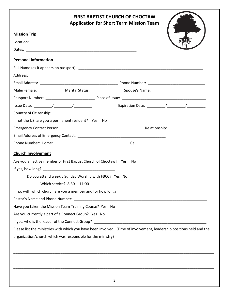## 3 **FIRST BAPTIST CHURCH OF CHOCTAW Application for Short Term Mission Team Mission Trip** Location: \_\_\_\_\_\_\_\_\_\_\_\_\_\_\_\_\_\_\_\_\_\_\_\_\_\_\_\_\_\_\_\_\_\_\_\_\_\_\_\_\_\_\_\_\_\_\_\_\_\_\_\_ Dates: **Personal Information** Full Name (as it appears on passport): \_\_\_\_\_\_\_\_\_\_\_\_\_\_\_\_\_\_\_\_\_\_\_\_\_\_\_\_\_\_\_\_\_\_\_\_\_\_\_\_\_\_\_\_\_\_\_\_\_\_\_\_\_\_\_\_\_\_\_\_\_ Address: \_\_\_\_\_\_\_\_\_\_\_\_\_\_\_\_\_\_\_\_\_\_\_\_\_\_\_\_\_\_\_\_\_\_\_\_\_\_\_\_\_\_\_\_\_\_\_\_\_\_\_\_\_\_\_\_\_\_\_\_\_\_\_\_\_\_\_\_\_\_\_\_\_\_\_\_\_\_\_\_\_\_\_\_\_\_ Email Address: \_\_\_\_\_\_\_\_\_\_\_\_\_\_\_\_\_\_\_\_\_\_\_\_\_\_\_\_\_\_\_\_\_\_\_\_\_\_ Phone Number: \_\_\_\_\_\_\_\_\_\_\_\_\_\_\_\_\_\_\_\_\_\_\_\_\_\_\_\_ Male/Female: \_\_\_\_\_\_\_\_\_\_\_\_ Marital Status: \_\_\_\_\_\_\_\_\_\_\_\_\_\_\_ Spouse's Name: \_\_\_\_\_\_\_\_\_\_\_\_\_\_\_\_\_\_\_\_\_\_\_\_\_\_ Passport Number: \_\_\_\_\_\_\_\_\_\_\_\_\_\_\_\_\_\_\_\_\_\_\_\_ Place of Issue: \_\_\_\_\_\_\_\_\_\_\_\_\_\_\_\_\_\_\_\_\_\_\_\_\_\_\_\_\_\_\_\_\_\_\_\_\_\_\_\_\_ Issue Date: \_\_\_\_\_\_\_\_\_/\_\_\_\_\_\_\_\_\_/\_\_\_\_\_\_\_\_\_ Expiration Date: \_\_\_\_\_\_\_\_\_/\_\_\_\_\_\_\_\_\_/\_\_\_\_\_\_\_\_\_ Country of Citizenship: \_\_\_\_\_\_\_\_\_\_\_\_\_\_\_\_\_\_\_\_\_\_\_\_\_\_\_\_\_\_\_\_\_ If not the US, are you a permanent resident? Yes No Emergency Contact Person: \_\_\_\_\_\_\_\_\_\_\_\_\_\_\_\_\_\_\_\_\_\_\_\_\_\_\_\_\_\_\_\_\_\_\_\_\_\_\_\_ Relationship: \_\_\_\_\_\_\_\_\_\_\_\_\_\_\_\_\_\_ Email Address of Emergency Contact: \_\_\_\_\_\_\_\_\_\_\_\_\_\_\_\_\_\_\_\_\_\_\_\_\_\_\_\_\_\_\_\_\_\_\_\_\_\_\_\_\_\_\_ Phone Number: Home: \_\_\_\_\_\_\_\_\_\_\_\_\_\_\_\_\_\_\_\_\_\_\_\_\_\_\_\_\_\_\_\_\_\_\_\_ Cell: \_\_\_\_\_\_\_\_\_\_\_\_\_\_\_\_\_\_\_\_\_\_\_\_\_\_\_\_\_\_\_\_\_ **Church Involvement** Are you an active member of First Baptist Church of Choctaw? Yes No If yes, how long? Do you attend weekly Sunday Worship with FBCC? Yes No Which service? 8:30 11:00 If no, with which church are you a member and for how long? \_\_\_\_\_\_\_\_\_\_\_\_\_\_\_\_\_\_\_\_\_\_\_\_\_\_\_\_\_\_\_\_\_\_\_\_\_\_\_\_\_\_\_ Pastor's Name and Phone Number: Have you taken the Mission Team Training Course? Yes No Are you currently a part of a Connect Group? Yes No If yes, who is the leader of the Connect Group? \_\_\_\_\_\_\_\_\_\_\_\_\_\_\_\_\_\_\_\_\_\_\_\_\_\_\_\_\_\_\_\_ Please list the ministries with which you have been involved: (Time of involvement, leadership positions held and the organization/church which was responsible for the ministry) \_\_\_\_\_\_\_\_\_\_\_\_\_\_\_\_\_\_\_\_\_\_\_\_\_\_\_\_\_\_\_\_\_\_\_\_\_\_\_\_\_\_\_\_\_\_\_\_\_\_\_\_\_\_\_\_\_\_\_\_\_\_\_\_\_\_\_\_\_\_\_\_\_\_\_\_\_\_\_\_\_\_\_\_\_\_\_\_\_\_\_\_\_\_\_\_\_\_ \_\_\_\_\_\_\_\_\_\_\_\_\_\_\_\_\_\_\_\_\_\_\_\_\_\_\_\_\_\_\_\_\_\_\_\_\_\_\_\_\_\_\_\_\_\_\_\_\_\_\_\_\_\_\_\_\_\_\_\_\_\_\_\_\_\_\_\_\_\_\_\_\_\_\_\_\_\_\_\_\_\_\_\_\_\_\_\_\_\_\_\_\_\_\_\_\_\_ \_\_\_\_\_\_\_\_\_\_\_\_\_\_\_\_\_\_\_\_\_\_\_\_\_\_\_\_\_\_\_\_\_\_\_\_\_\_\_\_\_\_\_\_\_\_\_\_\_\_\_\_\_\_\_\_\_\_\_\_\_\_\_\_\_\_\_\_\_\_\_\_\_\_\_\_\_\_\_\_\_\_\_\_\_\_\_\_\_\_\_\_\_\_\_\_\_\_ \_\_\_\_\_\_\_\_\_\_\_\_\_\_\_\_\_\_\_\_\_\_\_\_\_\_\_\_\_\_\_\_\_\_\_\_\_\_\_\_\_\_\_\_\_\_\_\_\_\_\_\_\_\_\_\_\_\_\_\_\_\_\_\_\_\_\_\_\_\_\_\_\_\_\_\_\_\_\_\_\_\_\_\_\_\_\_\_\_\_\_\_\_\_\_\_\_\_ \_\_\_\_\_\_\_\_\_\_\_\_\_\_\_\_\_\_\_\_\_\_\_\_\_\_\_\_\_\_\_\_\_\_\_\_\_\_\_\_\_\_\_\_\_\_\_\_\_\_\_\_\_\_\_\_\_\_\_\_\_\_\_\_\_\_\_\_\_\_\_\_\_\_\_\_\_\_\_\_\_\_\_\_\_\_\_\_\_\_\_\_\_\_\_\_\_\_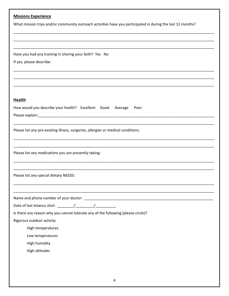| <b>Missions Experience</b>                                                                                  |
|-------------------------------------------------------------------------------------------------------------|
| What mission trips and/or community outreach activities have you participated in during the last 12 months? |
|                                                                                                             |
|                                                                                                             |
|                                                                                                             |
| Have you had any training in sharing your faith? Yes No                                                     |
| If yes, please describe:                                                                                    |
|                                                                                                             |
|                                                                                                             |
|                                                                                                             |
| <b>Health</b>                                                                                               |
| How would you describe your health? Excellent Good<br>Average<br>Poor                                       |
|                                                                                                             |
|                                                                                                             |
| Please list any pre-existing illness, surgeries, allergies or medical conditions:                           |
|                                                                                                             |
|                                                                                                             |
| Please list any medications you are presently taking:                                                       |
|                                                                                                             |
|                                                                                                             |
| Please list any special dietary NEEDS:                                                                      |
|                                                                                                             |
|                                                                                                             |
|                                                                                                             |
| Is there any reason why you cannot tolerate any of the following (please circle)?                           |
| Rigorous outdoor activity                                                                                   |
| High temperatures                                                                                           |
| Low temperatures                                                                                            |
| High humidity                                                                                               |
| High altitudes                                                                                              |
|                                                                                                             |
|                                                                                                             |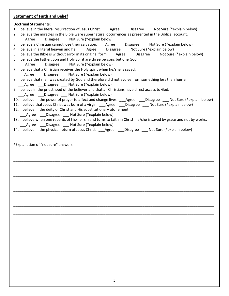## **Statement of Faith and Belief**

## **Doctrinal Statements**:

- 1. I believe in the literal resurrection of Jesus Christ. \_\_\_\_Agree \_\_\_\_Disagree \_\_\_\_ Not Sure (\*explain below)
- 2. I believe the miracles in the Bible were supernatural occurrences as presented in the Biblical account.

Agree Disagree Not Sure (\*explain below)

- 3. I believe a Christian cannot lose their salvation. \_\_\_Agree \_\_\_Disagree \_\_\_ Not Sure (\*explain below)
- 4. I believe in a literal heaven and hell. \_\_\_Agree \_\_\_Disagree \_\_\_ Not Sure (\*explain below)
- 5. I believe the Bible is without error in its original form. Agree Disagree Not Sure (\*explain below)
- 6. I believe the Father, Son and Holy Spirit are three persons but one God. Agree Disagree Not Sure (\*explain below)
- 7. I believe that a Christian receives the Holy spirit when he/she is saved.
- Agree Disagree Not Sure (\*explain below)
- 8. I believe that man was created by God and therefore did not evolve from something less than human.
	- Agree Disagree Not Sure (\*explain below)
- 9. I believe in the priesthood of the believer and that all Christians have direct access to God.
	- Agree Disagree Not Sure (\*explain below)
- 10. I believe in the power of prayer to affect and change lives. \_\_\_Agree \_\_\_Disagree \_\_\_ Not Sure (\*explain below)
- 11. I believe that Jesus Christ was born of a virgin. \_\_\_Agree \_\_\_Disagree \_\_\_ Not Sure (\*explain below)
- 12. I believe in the deity of Christ and His substitutionary atonement.
- Agree Disagree Not Sure (\*explain below)
- 13. I believe when one repents of his/her sin and turns to faith in Christ, he/she is saved by grace and not by works. Agree \_\_\_\_Disagree \_\_\_\_\_ Not Sure (\*explain below)

\_\_\_\_\_\_\_\_\_\_\_\_\_\_\_\_\_\_\_\_\_\_\_\_\_\_\_\_\_\_\_\_\_\_\_\_\_\_\_\_\_\_\_\_\_\_\_\_\_\_\_\_\_\_\_\_\_\_\_\_\_\_\_\_\_\_\_\_\_\_\_\_\_\_\_\_\_\_\_\_\_\_\_\_\_\_\_\_\_\_\_\_\_\_\_\_\_\_

\_\_\_\_\_\_\_\_\_\_\_\_\_\_\_\_\_\_\_\_\_\_\_\_\_\_\_\_\_\_\_\_\_\_\_\_\_\_\_\_\_\_\_\_\_\_\_\_\_\_\_\_\_\_\_\_\_\_\_\_\_\_\_\_\_\_\_\_\_\_\_\_\_\_\_\_\_\_\_\_\_\_\_\_\_\_\_\_\_\_\_\_\_\_\_\_\_\_

\_\_\_\_\_\_\_\_\_\_\_\_\_\_\_\_\_\_\_\_\_\_\_\_\_\_\_\_\_\_\_\_\_\_\_\_\_\_\_\_\_\_\_\_\_\_\_\_\_\_\_\_\_\_\_\_\_\_\_\_\_\_\_\_\_\_\_\_\_\_\_\_\_\_\_\_\_\_\_\_\_\_\_\_\_\_\_\_\_\_\_\_\_\_\_\_\_\_

\_\_\_\_\_\_\_\_\_\_\_\_\_\_\_\_\_\_\_\_\_\_\_\_\_\_\_\_\_\_\_\_\_\_\_\_\_\_\_\_\_\_\_\_\_\_\_\_\_\_\_\_\_\_\_\_\_\_\_\_\_\_\_\_\_\_\_\_\_\_\_\_\_\_\_\_\_\_\_\_\_\_\_\_\_\_\_\_\_\_\_\_\_\_\_\_\_\_

\_\_\_\_\_\_\_\_\_\_\_\_\_\_\_\_\_\_\_\_\_\_\_\_\_\_\_\_\_\_\_\_\_\_\_\_\_\_\_\_\_\_\_\_\_\_\_\_\_\_\_\_\_\_\_\_\_\_\_\_\_\_\_\_\_\_\_\_\_\_\_\_\_\_\_\_\_\_\_\_\_\_\_\_\_\_\_\_\_\_\_\_\_\_\_\_\_\_

\_\_\_\_\_\_\_\_\_\_\_\_\_\_\_\_\_\_\_\_\_\_\_\_\_\_\_\_\_\_\_\_\_\_\_\_\_\_\_\_\_\_\_\_\_\_\_\_\_\_\_\_\_\_\_\_\_\_\_\_\_\_\_\_\_\_\_\_\_\_\_\_\_\_\_\_\_\_\_\_\_\_\_\_\_\_\_\_\_\_\_\_\_\_\_\_\_\_

\_\_\_\_\_\_\_\_\_\_\_\_\_\_\_\_\_\_\_\_\_\_\_\_\_\_\_\_\_\_\_\_\_\_\_\_\_\_\_\_\_\_\_\_\_\_\_\_\_\_\_\_\_\_\_\_\_\_\_\_\_\_\_\_\_\_\_\_\_\_\_\_\_\_\_\_\_\_\_\_\_\_\_\_\_\_\_\_\_\_\_\_\_\_\_\_\_\_

\_\_\_\_\_\_\_\_\_\_\_\_\_\_\_\_\_\_\_\_\_\_\_\_\_\_\_\_\_\_\_\_\_\_\_\_\_\_\_\_\_\_\_\_\_\_\_\_\_\_\_\_\_\_\_\_\_\_\_\_\_\_\_\_\_\_\_\_\_\_\_\_\_\_\_\_\_\_\_\_\_\_\_\_\_\_\_\_\_\_\_\_\_\_\_\_\_\_

\_\_\_\_\_\_\_\_\_\_\_\_\_\_\_\_\_\_\_\_\_\_\_\_\_\_\_\_\_\_\_\_\_\_\_\_\_\_\_\_\_\_\_\_\_\_\_\_\_\_\_\_\_\_\_\_\_\_\_\_\_\_\_\_\_\_\_\_\_\_\_\_\_\_\_\_\_\_\_\_\_\_\_\_\_\_\_\_\_\_\_\_\_\_\_\_\_\_

14. I believe in the physical return of Jesus Christ. \_\_\_Agree \_\_\_Disagree \_\_\_ Not Sure (\*explain below)

\*Explanation of "not sure" answers: